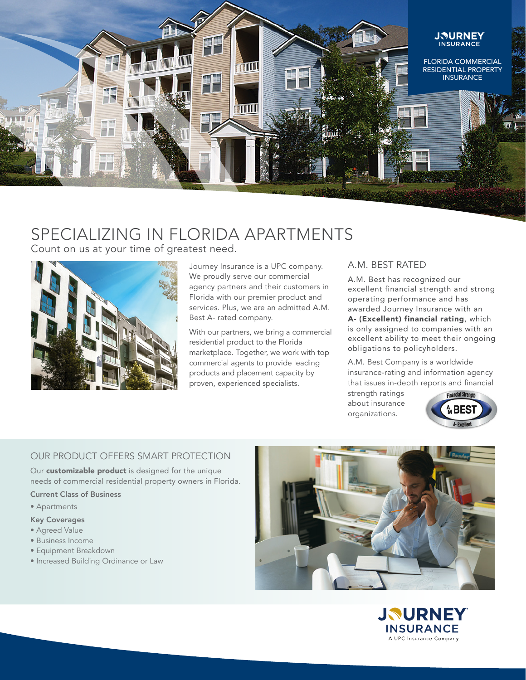

# SPECIALIZING IN FLORIDA APARTMENTS

Count on us at your time of greatest need.



Journey Insurance is a UPC company. We proudly serve our commercial agency partners and their customers in Florida with our premier product and services. Plus, we are an admitted A.M. Best A- rated company.

With our partners, we bring a commercial residential product to the Florida marketplace. Together, we work with top commercial agents to provide leading products and placement capacity by proven, experienced specialists.

## A.M. BEST RATED

A.M. Best has recognized our excellent financial strength and strong operating performance and has awarded Journey Insurance with an A- (Excellent) financial rating, which is only assigned to companies with an excellent ability to meet their ongoing obligations to policyholders.

A.M. Best Company is a worldwide insurance-rating and information agency that issues in-depth reports and financial

strength ratings about insurance organizations.



## OUR PRODUCT OFFERS SMART PROTECTION

Our **customizable product** is designed for the unique needs of commercial residential property owners in Florida.

Current Class of Business

• Apartments

## Key Coverages

- Agreed Value
- Business Income
- Equipment Breakdown
- Increased Building Ordinance or Law